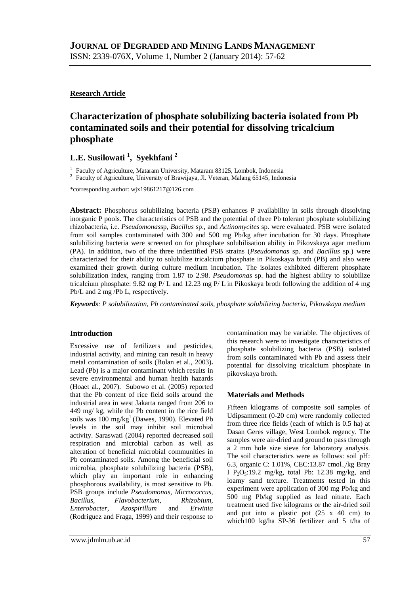## **Research Article**

# **Characterization of phosphate solubilizing bacteria isolated from Pb contaminated soils and their potential for dissolving tricalcium phosphate**

## **L.E. Susilowati <sup>1</sup> , Syekhfani <sup>2</sup>**

<sup>1</sup> Faculty of Agriculture, Mataram University, Mataram 83125, Lombok, Indonesia

<sup>2</sup> Faculty of Agriculture, University of Brawijaya, Jl. Veteran, Malang 65145, Indonesia

\*corresponding author: [wjx19861217@126.com](mailto:wjx19861217@126.com)

**Abstract:** Phosphorus solubilizing bacteria (PSB) enhances P availability in soils through dissolving inorganic P pools. The characteristics of PSB and the potential of three Pb tolerant phosphate solubilizing rhizobacteria, i.e. *Pseudomonas*sp, *Bacillus* sp., and *Actinomycites* sp. were evaluated. PSB were isolated from soil samples contaminated with 300 and 500 mg Pb/kg after incubation for 30 days. Phosphate solubilizing bacteria were screened on for phosphate solubilisation ability in Pikovskaya agar medium (PA). In addition, two of the three indentified PSB strains (*Pseudomonas* sp. and *Bacillus* sp.) were characterized for their ability to solubilize tricalcium phosphate in Pikoskaya broth (PB) and also were examined their growth during culture medium incubation. The isolates exhibited different phosphate solubilization index, ranging from 1.87 to 2.98. *Pseudomonas* sp. had the highest ability to solubilize tricalcium phosphate: 9.82 mg P/ L and 12.23 mg P/ L in Pikoskaya broth following the addition of 4 mg Pb/L and 2 mg /Pb L, respectively.

*Keywords: P solubilization, Pb contaminated soils, phosphate solubilizing bacteria, Pikovskaya medium*

## **Introduction**

Excessive use of fertilizers and pesticides, industrial activity, and mining can result in heavy metal contamination of soils (Bolan et al., 2003)**.** Lead (Pb) is a major contaminant which results in severe environmental and human health hazards (Hoaet al., 2007). Subowo et al. (2005) reported that the Pb content of rice field soils around the industrial area in west Jakarta ranged from 206 to 449 mg/ kg, while the Pb content in the rice field soils was  $100 \text{ mg/kg}^1$  (Dawes, 1990). Elevated Pb levels in the soil may inhibit soil microbial activity. Saraswati (2004) reported decreased soil respiration and microbial carbon as well as alteration of beneficial microbial communities in Pb contaminated soils. Among the beneficial soil microbia, phosphate solubilizing bacteria (PSB), which play an important role in enhancing phosphorous availability, is most sensitive to Pb. PSB groups include *Pseudomonas, Micrococcus, Bacillus, Flavobacterium, Rhizobium, Enterobacter, Azospirillum* and *Erwinia* (Rodriguez and Fraga, 1999) and their response to

contamination may be variable. The objectives of this research were to investigate characteristics of phosphate solubilizing bacteria (PSB) isolated from soils contaminated with Pb and assess their potential for dissolving tricalcium phosphate in pikovskaya broth.

## **Materials and Methods**

Fifteen kilograms of composite soil samples of Udipsamment (0-20 cm) were randomly collected from three rice fields (each of which is 0.5 ha) at Dasan Geres village, West Lombok regency. The samples were air-dried and ground to pass through a 2 mm hole size sieve for laboratory analysis. The soil characteristics were as follows: soil pH: 6.3, organic C: 1.01%, CEC:13.87 cmol<sub>+</sub>/kg Bray I  $P_2O_5:19.2$  mg/kg, total Pb: 12.38 mg/kg, and loamy sand texture. Treatments tested in this experiment were application of 300 mg Pb/kg and 500 mg Pb/kg supplied as lead nitrate. Each treatment used five kilograms or the air-dried soil and put into a plastic pot (25 x 40 cm) to which100 kg/ha SP-36 fertilizer and 5 t/ha of

www.jdmlm.ub.ac.id 57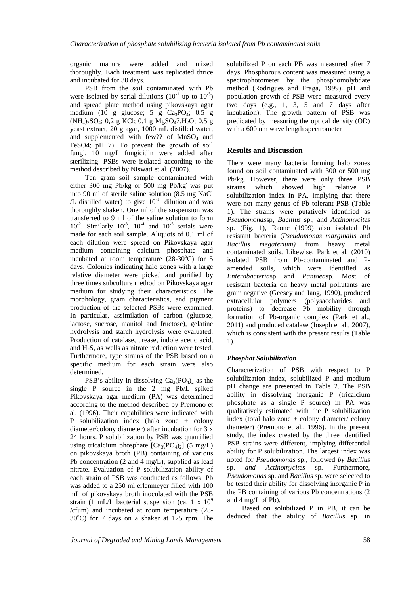organic manure were added and mixed thoroughly. Each treatment was replicated thrice and incubated for 30 days.

PSB from the soil contaminated with Pb were isolated by serial dilutions  $(10^{-1}$  up to  $10^{-5})$ and spread plate method using pikovskaya agar medium (10 g glucose; 5 g  $Ca<sub>3</sub>PO<sub>4</sub>$ ; 0.5 g  $(NH_4)_2SO_4$ ; 0,2 g KCl; 0.1 g MgSO<sub>4</sub>7.H<sub>2</sub>O; 0.5 g yeast extract, 20 g agar, 1000 mL distilled water, and supplemented with few?? of  $MnSO<sub>4</sub>$  and FeSO4; pH 7). To prevent the growth of soil fungi, 10 mg/L fungicidin were added after sterilizing. PSBs were isolated according to the method described by Niswati et al*.* (2007).

Ten gram soil sample contaminated with either 300 mg Pb/kg or 500 mg Pb/kg was put into 90 ml of sterile saline solution (8.5 mg NaCl  $/L$  distilled water) to give  $10^{-1}$  dilution and was thoroughly shaken. One ml of the suspension was transferred to 9 ml of the saline solution to form  $10^{-2}$ . Similarly  $10^{-3}$ ,  $10^{-4}$  and  $10^{-5}$  serials were made for each soil sample. Aliquots of 0.1 ml of each dilution were spread on Pikovskaya agar medium containing calcium phosphate and incubated at room temperature  $(28-30^{\circ}C)$  for 5 days. Colonies indicating halo zones with a large relative diameter were picked and purified by three times subculture method on Pikovskaya agar medium for studying their characteristics. The morphology, gram characteristics, and pigment production of the selected PSBs were examined. In particular, assimilation of carbon (glucose, lactose, sucrose, manitol and fructose), gelatine hydrolysis and starch hydrolysis were evaluated. Production of catalase, urease, indole acetic acid, and  $H_2S$ , as wells as nitrate reduction were tested. Furthermore, type strains of the PSB based on a specific medium for each strain were also determined.

PSB's ability in dissolving  $Ca<sub>3</sub>(PO<sub>4</sub>)<sub>2</sub>$  as the single P source in the 2 mg Pb/L spiked Pikovskaya agar medium (PA) was determined according to the method described by Premono et al. (1996). Their capabilities were indicated with P solubilization index (halo zone + colony diameter/colony diameter) after incubation for 3 x 24 hours. P solubilization by PSB was quantified using tricalcium phosphate  $[Ca_3(PO_4)_2]$  (5 mg/L) on pikovskaya broth (PB) containing of various Pb concentration (2 and 4 mg/L), supplied as lead nitrate. Evaluation of P solubilization ability of each strain of PSB was conducted as follows: Pb was added to a 250 ml erlenmeyer filled with 100 mL of pikovskaya broth inoculated with the PSB strain (1 mL/L bacterial suspension (ca. 1 x  $10^9$ /cfum) and incubated at room temperature (28-  $30^{\circ}$ C) for 7 days on a shaker at 125 rpm. The

solubilized P on each PB was measured after 7 days. Phosphorous content was measured using a spectrophotometer by the phosphomolybdate method (Rodrigues and Fraga, 1999). pH and population growth of PSB were measured every two days (e.g., 1, 3, 5 and 7 days after incubation). The growth pattern of PSB was predicated by measuring the optical density (OD) with a 600 nm wave length spectrometer

## **Results and Discussion**

There were many bacteria forming halo zones found on soil contaminated with 300 or 500 mg Pb/kg. However, there were only three PSB strains which showed high relative P solubilization index in PA, implying that there were not many genus of Pb tolerant PSB (Table 1). The strains were putatively identified as *Pseudomonas*sp, *Bacillus* sp., and *Actinomycites* sp. (Fig. 1), Raone (1999) also isolated Pb resistant bacteria (*Pseudomonas marginalis* and *Bacillus megaterium)* from heavy metal contaminated soils. Likewise, Park et al*.* (2010) isolated PSB from Pb-contaminated and Pamended soils, which were identified as *Enterobacteria*sp and *Pantoea*sp. Most of resistant bacteria on heavy metal pollutants are gram negative (Geesey and Jang, 1990), produced extracellular polymers (polysaccharides and proteins) to decrease Pb mobility through formation of Pb-organic complex (Park et al., 2011) and produced catalase (Joseph et al., 2007), which is consistent with the present results (Table 1).

## *Phosphat Solubilization*

Characterization of PSB with respect to P solubilization index, solubilized P and medium pH change are presented in Table 2. The PSB ability in dissolving inorganic P (tricalcium phosphate as a single P source) in PA was qualitatively estimated with the P solubilization index (total halo zone + colony diameter/ colony diameter) (Premono et al*.,* 1996). In the present study, the index created by the three identified PSB strains were different, implying differential ability for P solubilization. The largest index was noted for *Pseudomonas* sp., followed *by Bacillus* sp. *and Actinomycites* sp*.* Furthermore, *Pseudomonas* sp. and *Bacillus* sp. were selected to be tested their ability for dissolving inorganic P in the PB containing of various Pb concentrations (2 and 4 mg/L of Pb).

Based on solubilized P in PB, it can be deduced that the ability of *Bacillus* sp. in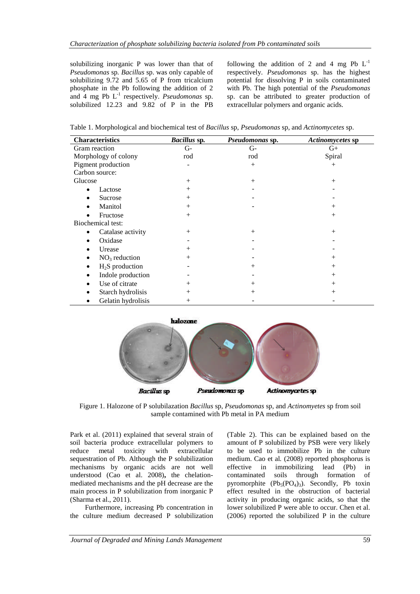solubilizing inorganic P was lower than that of *Pseudomonas* sp*. Bacillus* sp. was only capable of solubilizing 9.72 and 5.65 of P from tricalcium phosphate in the Pb following the addition of 2 and  $\overline{4}$  mg Pb  $\overline{L}^{-1}$  respectively. *Pseudomonas* sp. solubilized 12.23 and 9.82 of P in the PB

following the addition of 2 and 4 mg Pb  $L^{-1}$ respectively. *Pseudomonas* sp. has the highest potential for dissolving P in soils contaminated with Pb. The high potential of the *Pseudomonas* sp. can be attributed to greater production of extracellular polymers and organic acids.

| <b>Characteristics</b>         | Bacillus sp.<br>Pseudomonas sp. |        | Actinomycetes sp |  |
|--------------------------------|---------------------------------|--------|------------------|--|
| Gram reaction                  | $G-$                            | $G-$   | $G_{+}$          |  |
| Morphology of colony           | rod                             | rod    | Spiral           |  |
| Pigment production             |                                 | $^{+}$ | $^{+}$           |  |
| Carbon source:                 |                                 |        |                  |  |
| Glucose                        | $^{+}$                          | $^{+}$ | $^{+}$           |  |
| Lactose                        | $^{+}$                          |        |                  |  |
| Sucrose<br>٠                   | $^{+}$                          |        |                  |  |
| Manitol                        | $^{+}$                          |        | $^{+}$           |  |
| Fructose                       | $^{+}$                          |        | $^{+}$           |  |
| Biochemical test:              |                                 |        |                  |  |
| Catalase activity<br>$\bullet$ | $^{+}$                          | $^{+}$ | $^{+}$           |  |
| Oxidase                        |                                 |        |                  |  |
| Urease<br>٠                    | $^{+}$                          |        |                  |  |
| $NO3$ reduction                | $^{+}$                          |        | $^{+}$           |  |
| $H2S$ production<br>٠          |                                 | $^{+}$ | $^{+}$           |  |
| Indole production<br>٠         |                                 |        | $^{+}$           |  |
| Use of citrate<br>٠            | $^{+}$                          | $^{+}$ | $^{+}$           |  |
| Starch hydrolisis              | $^{+}$                          | $^{+}$ | $^{+}$           |  |
| Gelatin hydrolisis             | $^{+}$                          |        |                  |  |



Figure 1. Halozone of P solubilazation *Bacillus* sp, *Pseudomonas* sp, and *Actinomyetes* sp from soil sample contamined with Pb metal in PA medium

Park et al. (2011) explained that several strain of soil bacteria produce extracellular polymers to reduce metal toxicity with extracellular sequestration of Pb. Although the P solubilization mechanisms by organic acids are not well understood (Cao et al. 2008)**,** the chelationmediated mechanisms and the pH decrease are the main process in P solubilization from inorganic P (Sharma et al., 2011).

Furthermore, increasing Pb concentration in the culture medium decreased P solubilization (Table 2). This can be explained based on the amount of P solubilized by PSB were very likely to be used to immobilize Pb in the culture medium. Cao et al*.* (2008) reported phosphorus is effective in immobilizing lead (Pb) in contaminated soils through formation of pyromorphite  $(Pb_5(PO_4)_3)$ . Secondly, Pb toxin effect resulted in the obstruction of bacterial activity in producing organic acids, so that the lower solubilized P were able to occur. Chen et al. (2006) reported the solubilized P in the culture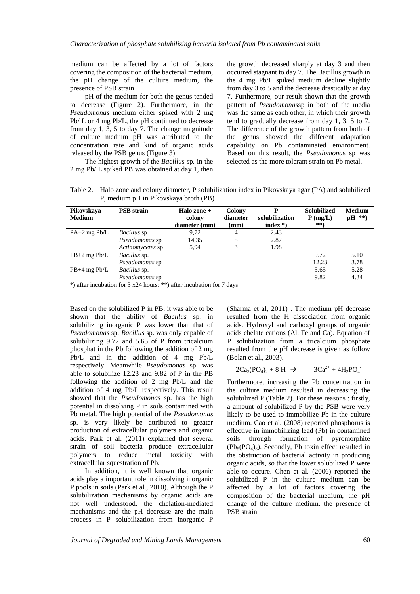medium can be affected by a lot of factors covering the composition of the bacterial medium, the pH change of the culture medium, the presence of PSB strain

pH of the medium for both the genus tended to decrease (Figure 2). Furthermore, in the *Pseudomonas* medium either spiked with 2 mg Pb/ L or 4 mg Pb/L, the pH continued to decrease from day 1, 3, 5 to day 7. The change magnitude of culture medium pH was attributed to the concentration rate and kind of organic acids released by the PSB genus (Figure 3).

The highest growth of the *Bacillus* sp. in the 2 mg Pb/ L spiked PB was obtained at day 1, then the growth decreased sharply at day 3 and then occurred stagnant to day 7. The Bacillus growth in the 4 mg Pb/L spiked medium decline slightly from day 3 to 5 and the decrease drastically at day 7. Furthermore, our result shown that the growth pattern of *Pseudomonas*sp in both of the media was the same as each other, in which their growth tend to gradually decrease from day 1, 3, 5 to 7. The difference of the growth pattern from both of the genus showed the different adaptation capability on Pb contaminated environment. Based on this result, the *Pseudomona*s sp was selected as the more tolerant strain on Pb metal.

Table 2. Halo zone and colony diameter, P solubilization index in Pikovskaya agar (PA) and solubilized P, medium pH in Pikovskaya broth (PB)

| Pikovskaya<br><b>Medium</b> | <b>PSB</b> strain   | Halo zone $+$<br>colony<br>diameter (mm) | Colony<br>diameter<br>(mm) | P<br>solubilization<br>index $*)$ | <b>Solubilized</b><br>$P$ (mg/L)<br>**) | <b>Medium</b><br>$pH$ **) |
|-----------------------------|---------------------|------------------------------------------|----------------------------|-----------------------------------|-----------------------------------------|---------------------------|
| $PA+2$ mg $Pb/L$            | <i>Bacillus</i> sp. | 9.72                                     | 4                          | 2.43                              |                                         |                           |
|                             | Pseudomonas sp      | 14,35                                    |                            | 2.87                              |                                         |                           |
|                             | Actinomycetes sp    | 5.94                                     | 3                          | 1.98                              |                                         |                           |
| $PB+2$ mg $Pb/L$            | <i>Bacillus</i> sp. |                                          |                            |                                   | 9.72                                    | 5.10                      |
|                             | Pseudomonas sp      |                                          |                            |                                   | 12.23                                   | 3.78                      |
| $PB+4$ mg $Pb/L$            | Bacillus sp.        |                                          |                            |                                   | 5.65                                    | 5.28                      |
|                             | Pseudomonas sp      |                                          |                            |                                   | 9.82                                    | 4.34                      |

\*) after incubation for  $3 \times 24$  hours; \*\*) after incubation for 7 days

Based on the solubilized P in PB, it was able to be shown that the ability of *Bacillus* sp. in solubilizing inorganic P was lower than that of *Pseudomonas* sp*. Bacillus* sp. was only capable of solubilizing 9.72 and 5.65 of P from tricalcium phosphat in the Pb following the addition of 2 mg Pb/L and in the addition of 4 mg Pb/L respectively. Meanwhile *Pseudomonas* sp. was able to solubilize 12.23 and 9.82 of P in the PB following the addition of 2 mg Pb/L and the addition of 4 mg Pb/L respectively. This result showed that the *Pseudomonas* sp. has the high potential in dissolving P in soils contamined with Pb metal. The high potential of the *Pseudomonas* sp. is very likely be attributed to greater production of extracellular polymers and organic acids. Park et al. (2011) explained that several strain of soil bacteria produce extracellular polymers to reduce metal toxicity with extracellular squestration of Pb.

In addition, it is well known that organic acids play a important role in dissolving inorganic P pools in soils (Park et al., 2010). Although the P solubilization mechanisms by organic acids are not well understood, the chelation-mediated mechanisms and the pH decrease are the main process in P solubilization from inorganic P

(Sharma et al, 2011) . The medium pH decrease resulted from the H dissociation from organic acids. Hydroxyl and carboxyl groups of organic acids chelate cations (Al, Fe and Ca). Equation of P solubilization from a tricalcium phosphate resulted from the pH decrease is given as follow (Bolan et al., 2003).

$$
2Ca_3(PO_4)_2 + 8 H^+ \rightarrow 3Ca^{2+} + 4H_2PO_4^-
$$

Furthermore, increasing the Pb concentration in the culture medium resulted in decreasing the solubilized P (Table 2). For these reasons : firstly, a amount of solubilized P by the PSB were very likely to be used to immobilize Pb in the culture medium. Cao et al*.* (2008) reported phosphorus is effective in immobilizing lead (Pb) in contamined soils through formation of pyromorphite  $(Pb<sub>5</sub>(PO<sub>4</sub>)<sub>3</sub>)$ . Secondly, Pb toxin effect resulted in the obstruction of bacterial activity in producing organic acids, so that the lower solubilized P were able to occure. Chen et al. (2006) reported the solubilized P in the culture medium can be affected by a lot of factors covering the composition of the bacterial medium, the pH change of the culture medium, the presence of PSB strain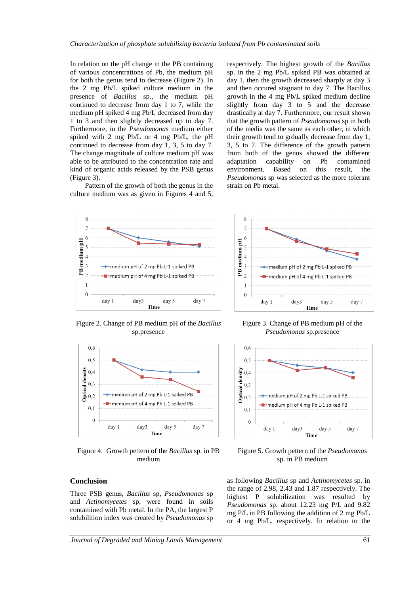In relation on the pH change in the PB containing of various concentrations of Pb, the medium pH for both the genus tend to decrease (Figure 2). In the 2 mg Pb/L spiked culture medium in the presence of *Bacillus* sp., the medium pH continued to decrease from day 1 to 7, while the medium pH spiked 4 mg Pb/L decreased from day 1 to 3 and then slightly decreased up to day 7. Furthermore, in the *Pseudomonas* medium either spiked with 2 mg Pb/L or 4 mg Pb/L, the pH continued to decrease from day 1, 3, 5 to day 7. The change magnitude of culture medium pH was able to be attributed to the concentration rate and kind of organic acids released by the PSB genus (Figure 3).

Pattern of the growth of both the genus in the culture medium was as given in Figures 4 and 5, respectively. The highest growth of the *Bacillus* sp. in the 2 mg Pb/L spiked PB was obtained at day 1, then the growth decreased sharply at day 3 and then occured stagnant to day 7. The Bacillus growth in the 4 mg Pb/L spiked medium decline slightly from day 3 to 5 and the decrease drastically at day 7. Furthermore, our result shown that the growth pattern of *Pseudomonas* sp in both of the media was the same as each other, in which their growth tend to grdually decrease from day 1, 3, 5 to 7. The difference of the growth pattern from both of the genus showed the different adaptation capability on Pb contamined environment. Based on this result, the *Pseudomona*s sp was selected as the more tolerant strain on Pb metal.



Figure 2. Change of PB medium pH of the *Bacillus* sp.presence



Figure 4. Growth pettern of the *Bacillus* sp. in PB medium

#### **Conclusion**

Three PSB genus, *Bacillus* sp, *Pseudomonas* sp and *Actinomycetes* sp, were found in soils contamined with Pb metal. In the PA, the largest P solubilition index was created by *Pseudomonas* sp



Figure 3. Change of PB medium pH of the *Pseudomonas* sp.presence



Figure 5. Growth pettern of the *Pseudomonas* sp. in PB medium

as following *Bacillus* sp and *Actinomycetes* sp. in the range of 2.98, 2.43 and 1.87 respectively. The highest P solubilization was resulted by *Pseudomonas* sp. about 12.23 mg P/L and 9.82 mg P/L in PB following the addition of 2 mg Pb/L or 4 mg Pb/L, respectively. In relation to the